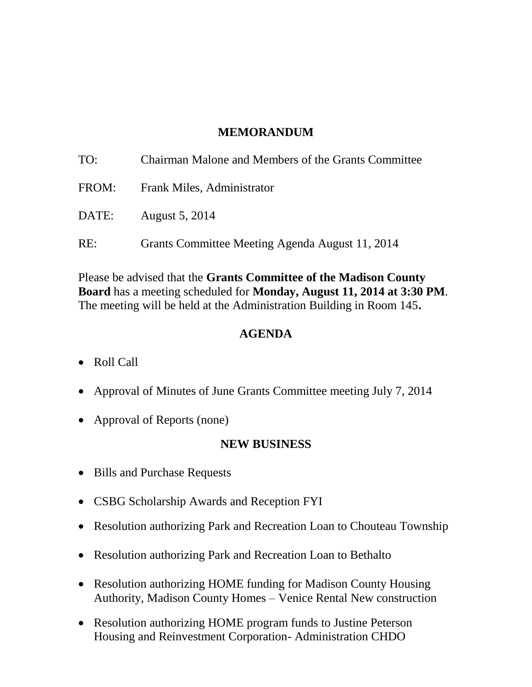### **MEMORANDUM**

| TO:   | Chairman Malone and Members of the Grants Committee |
|-------|-----------------------------------------------------|
| FROM: | Frank Miles, Administrator                          |
| DATE: | <b>August 5, 2014</b>                               |
| RE:   | Grants Committee Meeting Agenda August 11, 2014     |

Please be advised that the **Grants Committee of the Madison County Board** has a meeting scheduled for **Monday, August 11, 2014 at 3:30 PM**. The meeting will be held at the Administration Building in Room 145**.** 

#### **AGENDA**

- Roll Call
- Approval of Minutes of June Grants Committee meeting July 7, 2014
- Approval of Reports (none)

### **NEW BUSINESS**

- Bills and Purchase Requests
- CSBG Scholarship Awards and Reception FYI
- Resolution authorizing Park and Recreation Loan to Chouteau Township
- Resolution authorizing Park and Recreation Loan to Bethalto
- Resolution authorizing HOME funding for Madison County Housing Authority, Madison County Homes – Venice Rental New construction
- Resolution authorizing HOME program funds to Justine Peterson Housing and Reinvestment Corporation- Administration CHDO